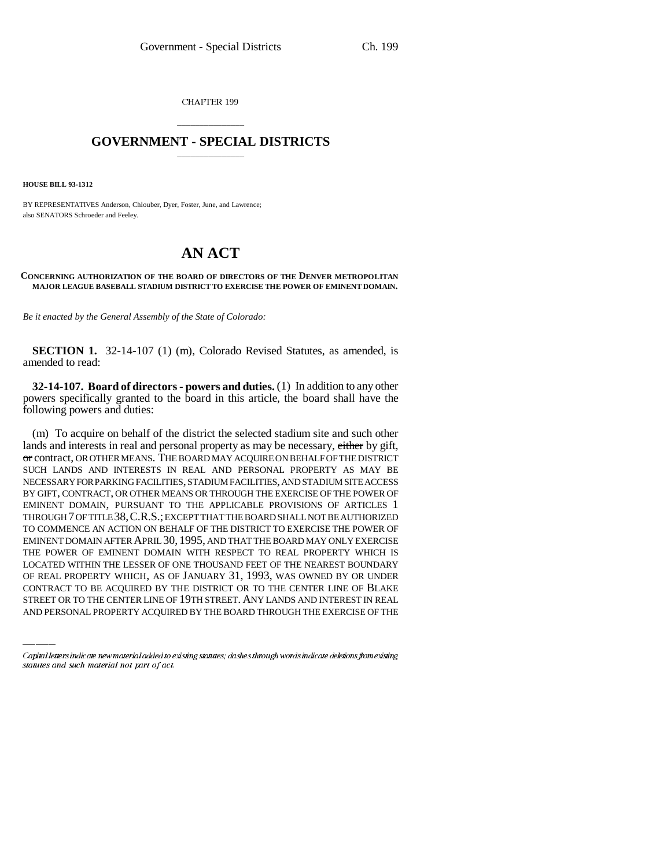CHAPTER 199

## \_\_\_\_\_\_\_\_\_\_\_\_\_\_\_ **GOVERNMENT - SPECIAL DISTRICTS** \_\_\_\_\_\_\_\_\_\_\_\_\_\_\_

**HOUSE BILL 93-1312**

BY REPRESENTATIVES Anderson, Chlouber, Dyer, Foster, June, and Lawrence; also SENATORS Schroeder and Feeley.

## **AN ACT**

## **CONCERNING AUTHORIZATION OF THE BOARD OF DIRECTORS OF THE DENVER METROPOLITAN MAJOR LEAGUE BASEBALL STADIUM DISTRICT TO EXERCISE THE POWER OF EMINENT DOMAIN.**

*Be it enacted by the General Assembly of the State of Colorado:*

**SECTION 1.** 32-14-107 (1) (m), Colorado Revised Statutes, as amended, is amended to read:

**32-14-107. Board of directors - powers and duties.** (1) In addition to any other powers specifically granted to the board in this article, the board shall have the following powers and duties:

LOCATED WITHIN THE LESSER OF ONE THOUSAND FEET OF THE NEAREST BOUNDARY (m) To acquire on behalf of the district the selected stadium site and such other lands and interests in real and personal property as may be necessary, either by gift, or contract, OR OTHER MEANS. THE BOARD MAY ACQUIRE ON BEHALF OF THE DISTRICT SUCH LANDS AND INTERESTS IN REAL AND PERSONAL PROPERTY AS MAY BE NECESSARY FOR PARKING FACILITIES, STADIUM FACILITIES, AND STADIUM SITE ACCESS BY GIFT, CONTRACT, OR OTHER MEANS OR THROUGH THE EXERCISE OF THE POWER OF EMINENT DOMAIN, PURSUANT TO THE APPLICABLE PROVISIONS OF ARTICLES 1 THROUGH 7 OF TITLE 38,C.R.S.; EXCEPT THAT THE BOARD SHALL NOT BE AUTHORIZED TO COMMENCE AN ACTION ON BEHALF OF THE DISTRICT TO EXERCISE THE POWER OF EMINENT DOMAIN AFTER APRIL 30, 1995, AND THAT THE BOARD MAY ONLY EXERCISE THE POWER OF EMINENT DOMAIN WITH RESPECT TO REAL PROPERTY WHICH IS OF REAL PROPERTY WHICH, AS OF JANUARY 31, 1993, WAS OWNED BY OR UNDER CONTRACT TO BE ACQUIRED BY THE DISTRICT OR TO THE CENTER LINE OF BLAKE STREET OR TO THE CENTER LINE OF 19TH STREET. ANY LANDS AND INTEREST IN REAL AND PERSONAL PROPERTY ACQUIRED BY THE BOARD THROUGH THE EXERCISE OF THE

Capital letters indicate new material added to existing statutes; dashes through words indicate deletions from existing statutes and such material not part of act.